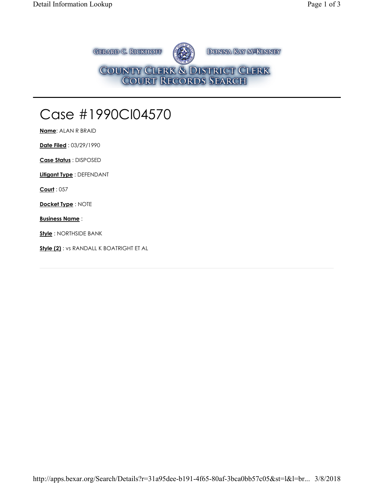**GERARD C. RICKHOFF** DONNA KAY M<sup>SKINNEY</sup> COUNTY CLERK & DISTRICT CLERK<br>COURT RECORDS SEARCH

## Case #1990CI04570

**Name**: ALAN R BRAID

**Date Filed** : 03/29/1990

**Case Status** : DISPOSED

**Litigant Type** : DEFENDANT

**Court** : 057

**Docket Type** : NOTE

**Business Name** :

**Style** : NORTHSIDE BANK

**Style (2)** : vs RANDALL K BOATRIGHT ET AL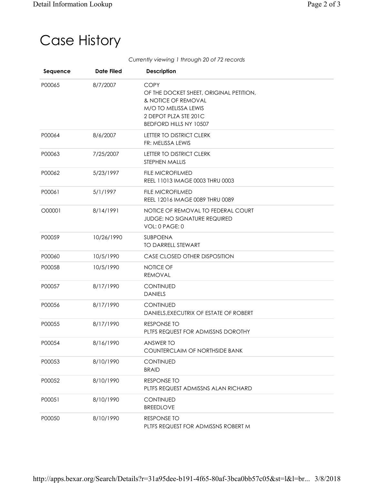## Case History

*Currently viewing 1 through 20 of 72 records*

| Sequence | <b>Date Filed</b> | <b>Description</b>                                                                                                                                       |
|----------|-------------------|----------------------------------------------------------------------------------------------------------------------------------------------------------|
| P00065   | 8/7/2007          | <b>COPY</b><br>OF THE DOCKET SHEET, ORIGINAL PETITION,<br>& NOTICE OF REMOVAL<br>M/O TO MELISSA LEWIS<br>2 DEPOT PLZA STE 201C<br>BEDFORD HILLS NY 10507 |
| P00064   | 8/6/2007          | LETTER TO DISTRICT CLERK<br>FR: MELISSA LEWIS                                                                                                            |
| P00063   | 7/25/2007         | LETTER TO DISTRICT CLERK<br><b>STEPHEN MALLIS</b>                                                                                                        |
| P00062   | 5/23/1997         | <b>FILE MICROFILMED</b><br>REEL 11013 IMAGE 0003 THRU 0003                                                                                               |
| P00061   | 5/1/1997          | <b>FILE MICROFILMED</b><br>REEL 12016 IMAGE 0089 THRU 0089                                                                                               |
| O00001   | 8/14/1991         | NOTICE OF REMOVAL TO FEDERAL COURT<br><b>JUDGE: NO SIGNATURE REQUIRED</b><br>VOL: 0 PAGE: 0                                                              |
| P00059   | 10/26/1990        | <b>SUBPOENA</b><br>TO DARRELL STEWART                                                                                                                    |
| P00060   | 10/5/1990         | CASE CLOSED OTHER DISPOSITION                                                                                                                            |
| P00058   | 10/5/1990         | NOTICE OF<br><b>REMOVAL</b>                                                                                                                              |
| P00057   | 8/17/1990         | <b>CONTINUED</b><br><b>DANIELS</b>                                                                                                                       |
| P00056   | 8/17/1990         | <b>CONTINUED</b><br>DANIELS, EXECUTRIX OF ESTATE OF ROBERT                                                                                               |
| P00055   | 8/17/1990         | <b>RESPONSE TO</b><br>PLTFS REQUEST FOR ADMISSNS DOROTHY                                                                                                 |
| P00054   | 8/16/1990         | <b>ANSWER TO</b><br><b>COUNTERCLAIM OF NORTHSIDE BANK</b>                                                                                                |
| P00053   | 8/10/1990         | <b>CONTINUED</b><br><b>BRAID</b>                                                                                                                         |
| P00052   | 8/10/1990         | <b>RESPONSE TO</b><br>PLTFS REQUEST ADMISSNS ALAN RICHARD                                                                                                |
| P00051   | 8/10/1990         | <b>CONTINUED</b><br><b>BREEDLOVE</b>                                                                                                                     |
| P00050   | 8/10/1990         | <b>RESPONSE TO</b><br>PLTFS REQUEST FOR ADMISSNS ROBERT M                                                                                                |